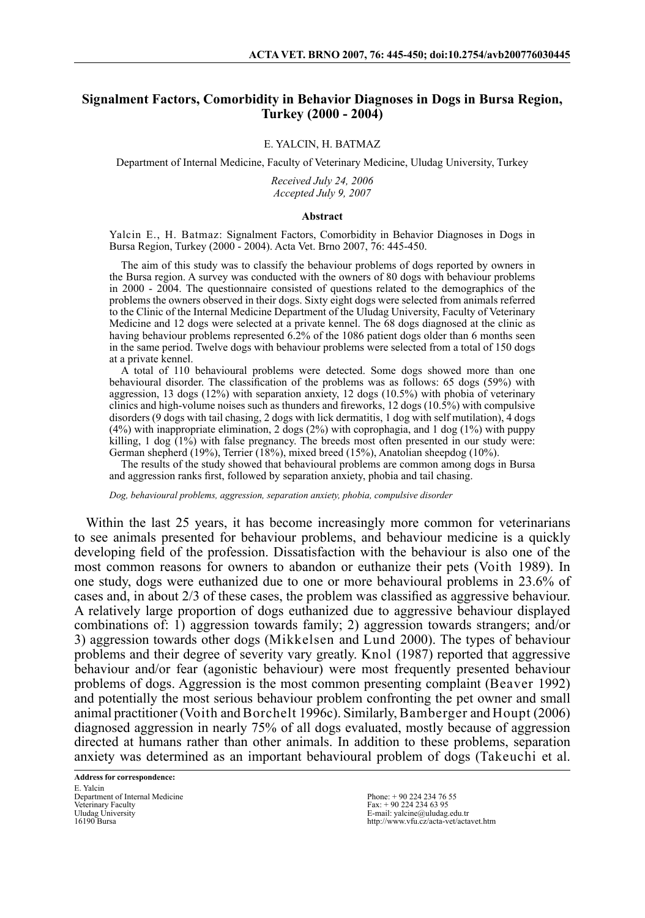## **Signalment Factors, Comorbidity in Behavior Diagnoses in Dogs in Bursa Region, Turkey (2000 - 2004)**

### E. YALCIN, H. BATMAZ

Department of Internal Medicine, Faculty of Veterinary Medicine, Uludag University, Turkey

*Received July 24, 2006 Accepted July 9, 2007*

#### **Abstract**

Yalcin E., H. Batmaz: Signalment Factors, Comorbidity in Behavior Diagnoses in Dogs in Bursa Region, Turkey (2000 - 2004). Acta Vet. Brno 2007, 76: 445-450.

The aim of this study was to classify the behaviour problems of dogs reported by owners in the Bursa region. A survey was conducted with the owners of 80 dogs with behaviour problems in 2000 - 2004. The questionnaire consisted of questions related to the demographics of the problems the owners observed in their dogs. Sixty eight dogs were selected from animals referred to the Clinic of the Internal Medicine Department of the Uludag University, Faculty of Veterinary Medicine and 12 dogs were selected at a private kennel. The 68 dogs diagnosed at the clinic as having behaviour problems represented 6.2% of the 1086 patient dogs older than 6 months seen in the same period. Twelve dogs with behaviour problems were selected from a total of 150 dogs at a private kennel.

A total of 110 behavioural problems were detected. Some dogs showed more than one behavioural disorder. The classification of the problems was as follows: 65 dogs (59%) with aggression, 13 dogs  $(12%)$  with separation anxiety, 12 dogs  $(10.5%)$  with phobia of veterinary clinics and high-volume noises such as thunders and fireworks, 12 dogs  $(10.5%)$  with compulsive disorders (9 dogs with tail chasing, 2 dogs with lick dermatitis, 1 dog with self mutilation), 4 dogs (4%) with inappropriate elimination, 2 dogs (2%) with coprophagia, and 1 dog (1%) with puppy killing, 1 dog  $(1\%)$  with false pregnancy. The breeds most often presented in our study were: German shepherd (19%), Terrier (18%), mixed breed (15%), Anatolian sheepdog (10%).

The results of the study showed that behavioural problems are common among dogs in Bursa and aggression ranks first, followed by separation anxiety, phobia and tail chasing.

*Dog, behavioural problems, aggression, separation anxiety, phobia, compulsive disorder*

Within the last 25 years, it has become increasingly more common for veterinarians to see animals presented for behaviour problems, and behaviour medicine is a quickly developing field of the profession. Dissatisfaction with the behaviour is also one of the most common reasons for owners to abandon or euthanize their pets (Voith 1989). In one study, dogs were euthanized due to one or more behavioural problems in 23.6% of cases and, in about 2/3 of these cases, the problem was classified as aggressive behaviour. A relatively large proportion of dogs euthanized due to aggressive behaviour displayed combinations of: 1) aggression towards family; 2) aggression towards strangers; and/or 3) aggression towards other dogs (Mikkelsen and Lund 2000). The types of behaviour problems and their degree of severity vary greatly. Knol (1987) reported that aggressive behaviour and/or fear (agonistic behaviour) were most frequently presented behaviour problems of dogs. Aggression is the most common presenting complaint (Beaver 1992) and potentially the most serious behaviour problem confronting the pet owner and small animal practitioner (Voith and Borchelt 1996c). Similarly, Bamberger and Houpt (2006) diagnosed aggression in nearly 75% of all dogs evaluated, mostly because of aggression directed at humans rather than other animals. In addition to these problems, separation anxiety was determined as an important behavioural problem of dogs (Takeuchi et al.

**Address for correspondence:** E. Yalcin Department of Internal Medicine Veterinary Faculty Uludag University 16190 Bursa

Phone: + 90 224 234 76 55 Fax: + 90 224 234 63 95 E-mail: yalcine@uludag.edu.tr http://www.vfu.cz/acta-vet/actavet.htm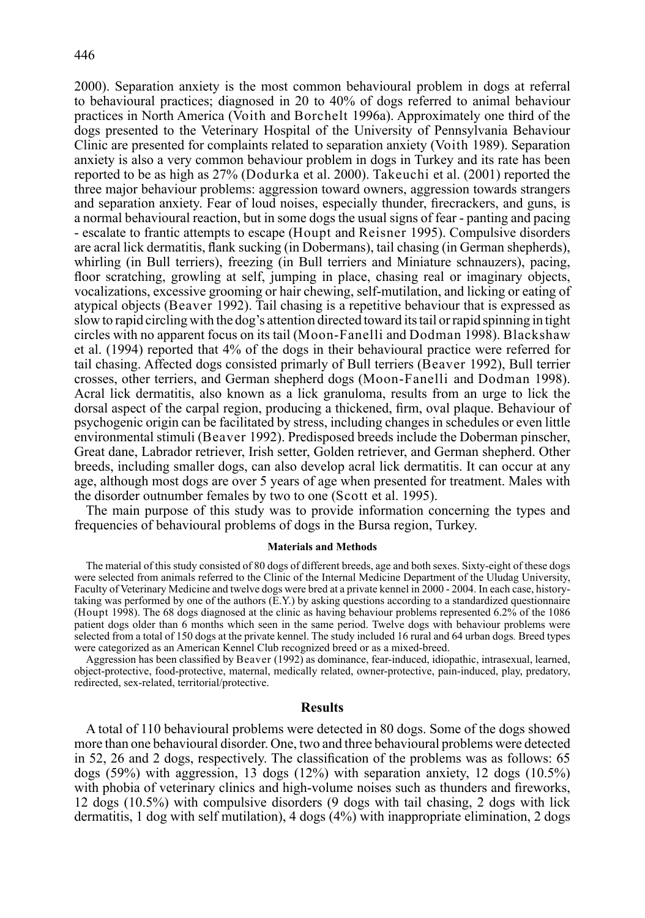2000). Separation anxiety is the most common behavioural problem in dogs at referral to behavioural practices; diagnosed in 20 to 40% of dogs referred to animal behaviour practices in North America (Voith and Borchelt 1996a). Approximately one third of the dogs presented to the Veterinary Hospital of the University of Pennsylvania Behaviour Clinic are presented for complaints related to separation anxiety (Voith 1989). Separation anxiety is also a very common behaviour problem in dogs in Turkey and its rate has been reported to be as high as 27% (Dodurka et al. 2000). Takeuchi et al. (2001) reported the three major behaviour problems: aggression toward owners, aggression towards strangers and separation anxiety. Fear of loud noises, especially thunder, firecrackers, and guns, is a normal behavioural reaction, but in some dogs the usual signs of fear - panting and pacing - escalate to frantic attempts to escape (Houpt and Reisner 1995). Compulsive disorders are acral lick dermatitis, flank sucking (in Dobermans), tail chasing (in German shepherds), whirling (in Bull terriers), freezing (in Bull terriers and Miniature schnauzers), pacing, floor scratching, growling at self, jumping in place, chasing real or imaginary objects, vocalizations, excessive grooming or hair chewing, self-mutilation, and licking or eating of atypical objects (Beaver 1992). Tail chasing is a repetitive behaviour that is expressed as slow to rapid circling with the dog's attention directed toward its tail or rapid spinning in tight circles with no apparent focus on its tail (Moon-Fanelli and Dodman 1998). Blackshaw et al. (1994) reported that 4% of the dogs in their behavioural practice were referred for tail chasing. Affected dogs consisted primarly of Bull terriers (Beaver 1992), Bull terrier crosses, other terriers, and German shepherd dogs (Moon-Fanelli and Dodman 1998). Acral lick dermatitis, also known as a lick granuloma, results from an urge to lick the dorsal aspect of the carpal region, producing a thickened, firm, oval plaque. Behaviour of psychogenic origin can be facilitated by stress, including changes in schedules or even little environmental stimuli (Beaver 1992). Predisposed breeds include the Doberman pinscher, Great dane, Labrador retriever, Irish setter, Golden retriever, and German shepherd. Other breeds, including smaller dogs, can also develop acral lick dermatitis. It can occur at any age, although most dogs are over 5 years of age when presented for treatment. Males with the disorder outnumber females by two to one (Scott et al. 1995).

The main purpose of this study was to provide information concerning the types and frequencies of behavioural problems of dogs in the Bursa region, Turkey.

#### **Materials and Methods**

The material of this study consisted of 80 dogs of different breeds, age and both sexes. Sixty-eight of these dogs were selected from animals referred to the Clinic of the Internal Medicine Department of the Uludag University, Faculty of Veterinary Medicine and twelve dogs were bred at a private kennel in 2000 - 2004. In each case, historytaking was performed by one of the authors (E.Y.) by asking questions according to a standardized questionnaire (Houpt 1998). The 68 dogs diagnosed at the clinic as having behaviour problems represented 6.2% of the 1086 patient dogs older than 6 months which seen in the same period. Twelve dogs with behaviour problems were selected from a total of 150 dogs at the private kennel. The study included 16 rural and 64 urban dogs*.* Breed types were categorized as an American Kennel Club recognized breed or as a mixed-breed.

Aggression has been classified by Beaver (1992) as dominance, fear-induced, idiopathic, intrasexual, learned, object-protective, food-protective, maternal, medically related, owner-protective, pain-induced, play, predatory, redirected, sex-related, territorial/protective.

# **Results**

A total of 110 behavioural problems were detected in 80 dogs. Some of the dogs showed more than one behavioural disorder. One, two and three behavioural problems were detected in 52, 26 and 2 dogs, respectively. The classification of the problems was as follows:  $65$ dogs  $(59\%)$  with aggression, 13 dogs  $(12\%)$  with separation anxiety, 12 dogs  $(10.5\%)$ with phobia of veterinary clinics and high-volume noises such as thunders and fireworks, 12 dogs (10.5%) with compulsive disorders (9 dogs with tail chasing, 2 dogs with lick dermatitis, 1 dog with self mutilation), 4 dogs (4%) with inappropriate elimination, 2 dogs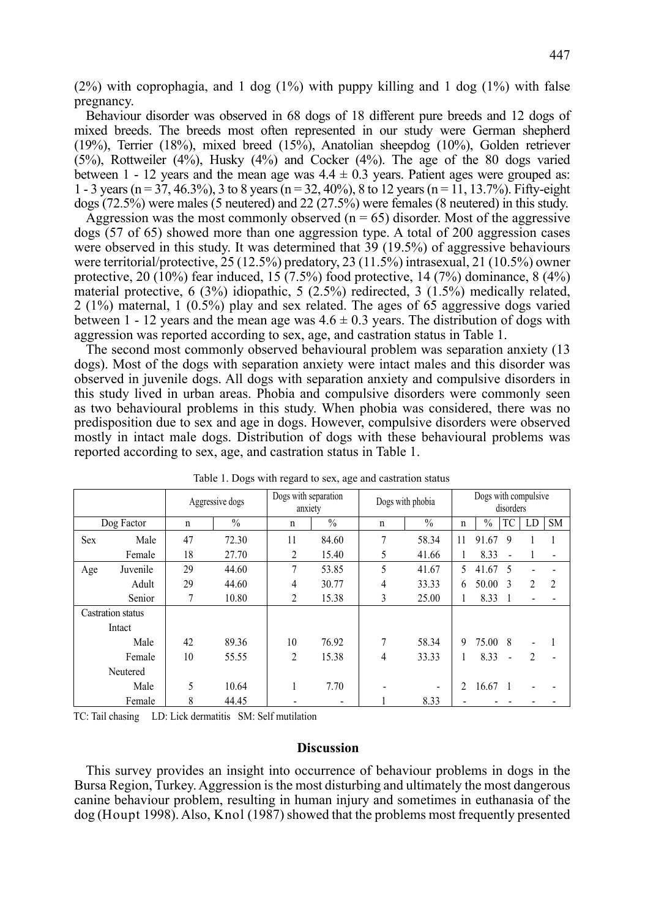$(2\%)$  with coprophagia, and 1 dog  $(1\%)$  with puppy killing and 1 dog  $(1\%)$  with false pregnancy.

Behaviour disorder was observed in 68 dogs of 18 different pure breeds and 12 dogs of mixed breeds. The breeds most often represented in our study were German shepherd (19%), Terrier (18%), mixed breed (15%), Anatolian sheepdog (10%), Golden retriever (5%), Rottweiler (4%), Husky (4%) and Cocker (4%). The age of the 80 dogs varied between 1 - 12 years and the mean age was  $4.4 \pm 0.3$  years. Patient ages were grouped as: 1 - 3 years (n = 37, 46.3%), 3 to 8 years (n = 32, 40%), 8 to 12 years (n = 11, 13.7%). Fifty-eight dogs (72.5%) were males (5 neutered) and 22 (27.5%) were females (8 neutered) in this study.

Aggression was the most commonly observed  $(n = 65)$  disorder. Most of the aggressive dogs (57 of 65) showed more than one aggression type. A total of 200 aggression cases were observed in this study. It was determined that 39 (19.5%) of aggressive behaviours were territorial/protective, 25 (12.5%) predatory, 23 (11.5%) intrasexual, 21 (10.5%) owner protective,  $20 \times (10\%)$  fear induced,  $15 \times (7.5\%)$  food protective,  $14 \times (7\%)$  dominance,  $8 \times (4\%)$ material protective, 6 (3%) idiopathic, 5 (2.5%) redirected, 3 (1.5%) medically related, 2 (1%) maternal, 1 (0.5%) play and sex related. The ages of 65 aggressive dogs varied between 1 - 12 years and the mean age was  $4.6 \pm 0.3$  years. The distribution of dogs with aggression was reported according to sex, age, and castration status in Table 1.

The second most commonly observed behavioural problem was separation anxiety (13 dogs). Most of the dogs with separation anxiety were intact males and this disorder was observed in juvenile dogs. All dogs with separation anxiety and compulsive disorders in this study lived in urban areas. Phobia and compulsive disorders were commonly seen as two behavioural problems in this study. When phobia was considered, there was no predisposition due to sex and age in dogs. However, compulsive disorders were observed mostly in intact male dogs. Distribution of dogs with these behavioural problems was reported according to sex, age, and castration status in Table 1.

|                   |          | Aggressive dogs |               | Dogs with separation<br>anxiety |       | Dogs with phobia |       | Dogs with compulsive<br>disorders |               |    |                |                |
|-------------------|----------|-----------------|---------------|---------------------------------|-------|------------------|-------|-----------------------------------|---------------|----|----------------|----------------|
| Dog Factor        |          | n               | $\frac{0}{0}$ | n                               | $\%$  | $\mathbf n$      | $\%$  | n                                 | $\frac{0}{0}$ | TC | LD             | <b>SM</b>      |
| Sex               | Male     | 47              | 72.30         | 11                              | 84.60 | 7                | 58.34 | 11                                | 91.67         | 9  |                |                |
|                   | Female   | 18              | 27.70         | 2                               | 15.40 | 5                | 41.66 |                                   | 8.33          |    |                |                |
| Age               | Juvenile | 29              | 44.60         | $\overline{7}$                  | 53.85 | 5                | 41.67 | 5                                 | 41.67         | 5  |                |                |
|                   | Adult    | 29              | 44.60         | 4                               | 30.77 | 4                | 33.33 | 6                                 | 50.00         | 3  | $\mathfrak{D}$ | $\overline{c}$ |
|                   | Senior   |                 | 10.80         | 2                               | 15.38 | 3                | 25.00 |                                   | 8.33          |    |                |                |
| Castration status |          |                 |               |                                 |       |                  |       |                                   |               |    |                |                |
| Intact            |          |                 |               |                                 |       |                  |       |                                   |               |    |                |                |
|                   | Male     | 42              | 89.36         | 10                              | 76.92 | $\overline{7}$   | 58.34 | 9                                 | 75.00         | 8  |                |                |
|                   | Female   | 10              | 55.55         | 2                               | 15.38 | 4                | 33.33 | 1                                 | 8.33          |    | 2              |                |
| Neutered          |          |                 |               |                                 |       |                  |       |                                   |               |    |                |                |
|                   | Male     | 5               | 10.64         |                                 | 7.70  |                  |       | $\overline{c}$                    | 16.67         |    |                |                |
|                   | Female   | 8               | 44.45         |                                 | ۰     |                  | 8.33  |                                   |               |    |                |                |

Table 1. Dogs with regard to sex, age and castration status

TC: Tail chasing LD: Lick dermatitis SM: Self mutilation

### **Discussion**

This survey provides an insight into occurrence of behaviour problems in dogs in the Bursa Region, Turkey. Aggression is the most disturbing and ultimately the most dangerous canine behaviour problem, resulting in human injury and sometimes in euthanasia of the dog (Houpt 1998). Also, Knol (1987) showed that the problems most frequently presented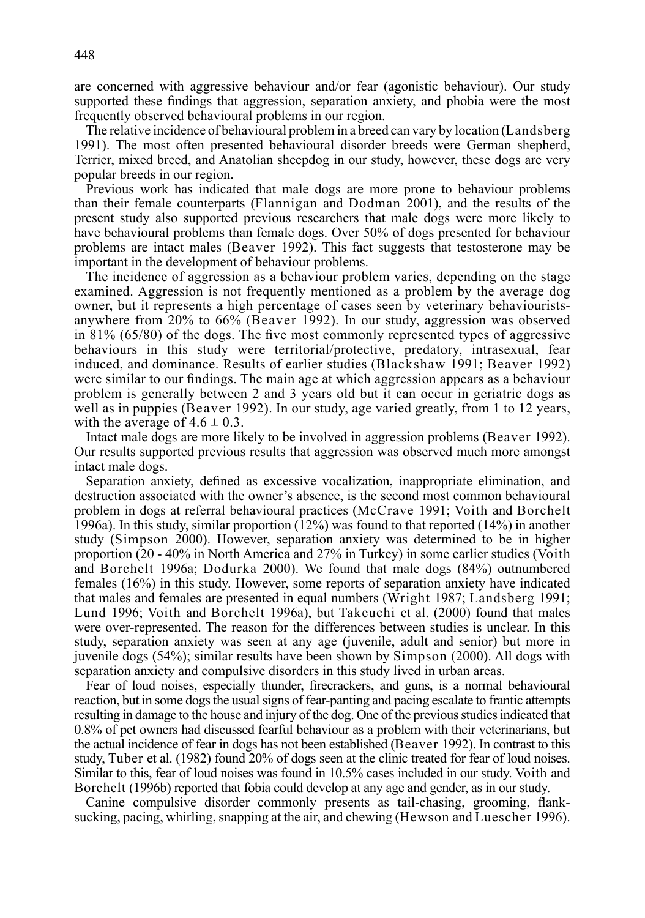are concerned with aggressive behaviour and/or fear (agonistic behaviour). Our study supported these findings that aggression, separation anxiety, and phobia were the most frequently observed behavioural problems in our region.

The relative incidence of behavioural problem in a breed can vary by location (Landsberg 1991). The most often presented behavioural disorder breeds were German shepherd, Terrier, mixed breed, and Anatolian sheepdog in our study, however, these dogs are very popular breeds in our region.

Previous work has indicated that male dogs are more prone to behaviour problems than their female counterparts (Flannigan and Dodman 2001), and the results of the present study also supported previous researchers that male dogs were more likely to have behavioural problems than female dogs. Over 50% of dogs presented for behaviour problems are intact males (Beaver 1992). This fact suggests that testosterone may be important in the development of behaviour problems.

The incidence of aggression as a behaviour problem varies, depending on the stage examined. Aggression is not frequently mentioned as a problem by the average dog owner, but it represents a high percentage of cases seen by veterinary behaviouristsanywhere from 20% to 66% (Beaver 1992). In our study, aggression was observed in  $81\%$  (65/80) of the dogs. The five most commonly represented types of aggressive behaviours in this study were territorial/protective, predatory, intrasexual, fear induced, and dominance. Results of earlier studies (Blackshaw 1991; Beaver 1992) were similar to our findings. The main age at which aggression appears as a behaviour problem is generally between 2 and 3 years old but it can occur in geriatric dogs as well as in puppies (Beaver 1992). In our study, age varied greatly, from 1 to 12 years, with the average of  $4.6 \pm 0.3$ .

Intact male dogs are more likely to be involved in aggression problems (Beaver 1992). Our results supported previous results that aggression was observed much more amongst intact male dogs.

Separation anxiety, defined as excessive vocalization, inappropriate elimination, and destruction associated with the owner's absence, is the second most common behavioural problem in dogs at referral behavioural practices (McCrave 1991; Voith and Borchelt 1996a). In this study, similar proportion (12%) was found to that reported (14%) in another study (Simpson 2000). However, separation anxiety was determined to be in higher proportion (20 - 40% in North America and 27% in Turkey) in some earlier studies (Voith and Borchelt 1996a; Dodurka 2000). We found that male dogs (84%) outnumbered females (16%) in this study. However, some reports of separation anxiety have indicated that males and females are presented in equal numbers (Wright 1987; Landsberg 1991; Lund 1996; Voith and Borchelt 1996a), but Takeuchi et al. (2000) found that males were over-represented. The reason for the differences between studies is unclear. In this study, separation anxiety was seen at any age (juvenile, adult and senior) but more in juvenile dogs (54%); similar results have been shown by Simpson (2000). All dogs with separation anxiety and compulsive disorders in this study lived in urban areas.

Fear of loud noises, especially thunder, firecrackers, and guns, is a normal behavioural reaction, but in some dogs the usual signs of fear-panting and pacing escalate to frantic attempts resulting in damage to the house and injury of the dog. One of the previous studies indicated that 0.8% of pet owners had discussed fearful behaviour as a problem with their veterinarians, but the actual incidence of fear in dogs has not been established (Beaver 1992). In contrast to this study, Tuber et al. (1982) found 20% of dogs seen at the clinic treated for fear of loud noises. Similar to this, fear of loud noises was found in 10.5% cases included in our study. Voith and Borchelt (1996b) reported that fobia could develop at any age and gender, as in our study.

Canine compulsive disorder commonly presents as tail-chasing, grooming, flanksucking, pacing, whirling, snapping at the air, and chewing (Hewson and Luescher 1996).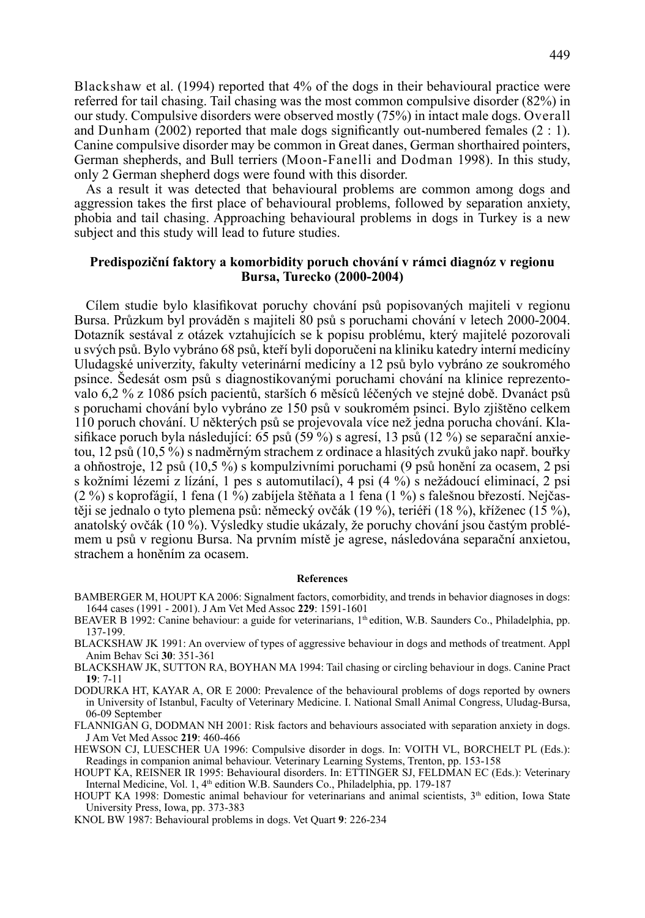Blackshaw et al. (1994) reported that 4% of the dogs in their behavioural practice were referred for tail chasing. Tail chasing was the most common compulsive disorder (82%) in our study. Compulsive disorders were observed mostly (75%) in intact male dogs. Overall and Dunham (2002) reported that male dogs significantly out-numbered females  $(2:1)$ . Canine compulsive disorder may be common in Great danes, German shorthaired pointers, German shepherds, and Bull terriers (Moon-Fanelli and Dodman 1998). In this study, only 2 German shepherd dogs were found with this disorder.

As a result it was detected that behavioural problems are common among dogs and aggression takes the first place of behavioural problems, followed by separation anxiety, phobia and tail chasing. Approaching behavioural problems in dogs in Turkey is a new subject and this study will lead to future studies.

# **Predispoziční faktory a komorbidity poruch chování v rámci diagnóz v regionu Bursa, Turecko (2000-2004)**

Cílem studie bylo klasifikovat poruchy chování psů popisovaných majiteli v regionu Bursa. Průzkum byl prováděn s majiteli 80 psů s poruchami chování v letech 2000-2004. Dotazník sestával z otázek vztahujících se k popisu problému, který majitelé pozorovali u svých psů. Bylo vybráno 68 psů, kteří byli doporučeni na kliniku katedry interní medicíny Uludagské univerzity, fakulty veterinární medicíny a 12 psů bylo vybráno ze soukromého psince. Šedesát osm psů s diagnostikovanými poruchami chování na klinice reprezentovalo 6,2 % z 1086 psích pacientů, starších 6 měsíců léčených ve stejné době. Dvanáct psů s poruchami chování bylo vybráno ze 150 psů v soukromém psinci. Bylo zjištěno celkem 110 poruch chování. U některých psů se projevovala více než jedna porucha chování. Klasifikace poruch byla následující: 65 psů (59 %) s agresí, 13 psů (12 %) se separační anxietou, 12 psů (10,5 %) s nadměrným strachem z ordinace a hlasitých zvuků jako např. bouřky a ohňostroje, 12 psů (10,5 %) s kompulzivními poruchami (9 psů honění za ocasem, 2 psi s kožními lézemi z lízání, 1 pes s automutilací), 4 psi (4 %) s nežádoucí eliminací, 2 psi  $(2\%)$  s koprofágií, 1 fena (1 %) zabíjela štěňata a 1 fena (1 %) s falešnou březostí. Nejčastěji se jednalo o tyto plemena psů: německý ovčák (19 %), teriéři (18 %), kříženec (15 %), anatolský ovčák (10 %). Výsledky studie ukázaly, že poruchy chování jsou častým problémem u psů v regionu Bursa. Na prvním místě je agrese, následována separační anxietou, strachem a honěním za ocasem.

#### **References**

- BAMBERGER M, HOUPT KA 2006: Signalment factors, comorbidity, and trends in behavior diagnoses in dogs: 1644 cases (1991 - 2001). J Am Vet Med Assoc **229**: 1591-1601
- BEAVER B 1992: Canine behaviour: a guide for veterinarians, 1<sup>th</sup> edition, W.B. Saunders Co., Philadelphia, pp. 137-199.
- BLACKSHAW JK 1991: An overview of types of aggressive behaviour in dogs and methods of treatment. Appl Anim Behav Sci **30**: 351-361
- BLACKSHAW JK, SUTTON RA, BOYHAN MA 1994: Tail chasing or circling behaviour in dogs. Canine Pract **19**: 7-11
- DODURKA HT, KAYAR A, OR E 2000: Prevalence of the behavioural problems of dogs reported by owners in University of Istanbul, Faculty of Veterinary Medicine. I. National Small Animal Congress, Uludag-Bursa, 06-09 September
- FLANNIGAN G, DODMAN NH 2001: Risk factors and behaviours associated with separation anxiety in dogs. J Am Vet Med Assoc **219**: 460-466
- HEWSON CJ, LUESCHER UA 1996: Compulsive disorder in dogs. In: VOITH VL, BORCHELT PL (Eds.): Readings in companion animal behaviour. Veterinary Learning Systems, Trenton, pp. 153-158
- HOUPT KA, REISNER IR 1995: Behavioural disorders. In: ETTINGER SJ, FELDMAN EC (Eds.): Veterinary Internal Medicine, Vol. 1, 4<sup>th</sup> edition W.B. Saunders Co., Philadelphia, pp. 179-187
- HOUPT KA 1998: Domestic animal behaviour for veterinarians and animal scientists,  $3<sup>th</sup>$  edition, Iowa State University Press, Iowa, pp. 373-383
- KNOL BW 1987: Behavioural problems in dogs. Vet Quart **9**: 226-234